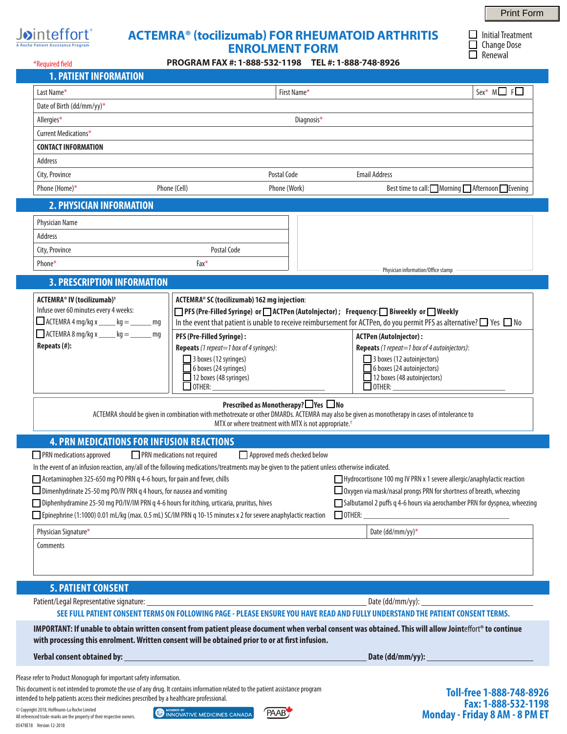

 $\Box$  Initial Treatment  $\Box$  Change Dose  $\Box$  Renewal

| <b>A Roche Patient Assistance Program</b> |  |  |  |  |  |  |  |  |  |  |
|-------------------------------------------|--|--|--|--|--|--|--|--|--|--|

# **ACTEMRA® (tocilizumab) FOR RHEUMATOID ARTHRITIS ENROLMENT FORM**

**PROGRAM FAX #: 1-888-532-1198 TEL #: 1-888-748-8926**

| *Required field                                                                                                                                                                                        |                                                                                                                                                                                                                              | PROGRAM FAX #: 1-888-532-1198 TEL #: 1-888-748-8926                                                                 |                                                                                                                                                        |                                                           |  |  |  |
|--------------------------------------------------------------------------------------------------------------------------------------------------------------------------------------------------------|------------------------------------------------------------------------------------------------------------------------------------------------------------------------------------------------------------------------------|---------------------------------------------------------------------------------------------------------------------|--------------------------------------------------------------------------------------------------------------------------------------------------------|-----------------------------------------------------------|--|--|--|
| <b>1. PATIENT INFORMATION</b>                                                                                                                                                                          |                                                                                                                                                                                                                              |                                                                                                                     |                                                                                                                                                        |                                                           |  |  |  |
| Last Name*                                                                                                                                                                                             |                                                                                                                                                                                                                              | First Name*                                                                                                         |                                                                                                                                                        | $Sex^* M \square F \square$                               |  |  |  |
| Date of Birth (dd/mm/yy)*                                                                                                                                                                              |                                                                                                                                                                                                                              |                                                                                                                     |                                                                                                                                                        |                                                           |  |  |  |
| Allergies*                                                                                                                                                                                             |                                                                                                                                                                                                                              | Diagnosis*                                                                                                          |                                                                                                                                                        |                                                           |  |  |  |
| Current Medications*                                                                                                                                                                                   |                                                                                                                                                                                                                              |                                                                                                                     |                                                                                                                                                        |                                                           |  |  |  |
| <b>CONTACT INFORMATION</b>                                                                                                                                                                             |                                                                                                                                                                                                                              |                                                                                                                     |                                                                                                                                                        |                                                           |  |  |  |
| Address                                                                                                                                                                                                |                                                                                                                                                                                                                              |                                                                                                                     |                                                                                                                                                        |                                                           |  |  |  |
| City, Province                                                                                                                                                                                         |                                                                                                                                                                                                                              | Postal Code                                                                                                         | <b>Email Address</b>                                                                                                                                   |                                                           |  |  |  |
| Phone (Home)*                                                                                                                                                                                          | Phone (Cell)                                                                                                                                                                                                                 | Phone (Work)                                                                                                        |                                                                                                                                                        | Best time to call: Morning △ Afternoon Best time to call: |  |  |  |
| <b>2. PHYSICIAN INFORMATION</b>                                                                                                                                                                        |                                                                                                                                                                                                                              |                                                                                                                     |                                                                                                                                                        |                                                           |  |  |  |
| Physician Name                                                                                                                                                                                         |                                                                                                                                                                                                                              |                                                                                                                     |                                                                                                                                                        |                                                           |  |  |  |
| Address                                                                                                                                                                                                |                                                                                                                                                                                                                              |                                                                                                                     |                                                                                                                                                        |                                                           |  |  |  |
| City, Province                                                                                                                                                                                         | Postal Code                                                                                                                                                                                                                  |                                                                                                                     |                                                                                                                                                        |                                                           |  |  |  |
| Phone*                                                                                                                                                                                                 | Fax*                                                                                                                                                                                                                         |                                                                                                                     |                                                                                                                                                        |                                                           |  |  |  |
|                                                                                                                                                                                                        |                                                                                                                                                                                                                              |                                                                                                                     | Physician information/Office stamp                                                                                                                     |                                                           |  |  |  |
| <b>3. PRESCRIPTION INFORMATION</b>                                                                                                                                                                     |                                                                                                                                                                                                                              |                                                                                                                     |                                                                                                                                                        |                                                           |  |  |  |
| <b>ACTEMRA® IV (tocilizumab)<sup>†</sup></b><br>Infuse over 60 minutes every 4 weeks:                                                                                                                  |                                                                                                                                                                                                                              | ACTEMRA® SC (tocilizumab) 162 mg injection:                                                                         |                                                                                                                                                        |                                                           |  |  |  |
| $\Box$ ACTEMRA 4 mg/kg x _____ kg = ______ mg                                                                                                                                                          | □ PFS (Pre-Filled Syringe) or □ ACTPen (AutoInjector) ; Frequency: □ Biweekly or □ Weekly<br>In the event that patient is unable to receive reimbursement for ACTPen, do you permit PFS as alternative? $\Box$ Yes $\Box$ No |                                                                                                                     |                                                                                                                                                        |                                                           |  |  |  |
| $\Box$ ACTEMRA 8 mg/kg x _____ kg = ______ mg                                                                                                                                                          |                                                                                                                                                                                                                              |                                                                                                                     |                                                                                                                                                        |                                                           |  |  |  |
| Repeats (#):                                                                                                                                                                                           | PFS (Pre-Filled Syringe):<br>Repeats (1 repeat=1 box of 4 syringes):                                                                                                                                                         |                                                                                                                     | <b>ACTPen (AutoInjector):</b><br><b>Repeats</b> (1 repeat=1 box of 4 autoinjectors):                                                                   |                                                           |  |  |  |
|                                                                                                                                                                                                        | 3 boxes (12 syringes)                                                                                                                                                                                                        |                                                                                                                     | 3 boxes (12 autoinjectors)                                                                                                                             |                                                           |  |  |  |
|                                                                                                                                                                                                        | 6 boxes (24 syringes)                                                                                                                                                                                                        |                                                                                                                     | 6 boxes (24 autoinjectors)                                                                                                                             |                                                           |  |  |  |
|                                                                                                                                                                                                        | 12 boxes (48 syringes)                                                                                                                                                                                                       |                                                                                                                     | 12 boxes (48 autoinjectors)                                                                                                                            |                                                           |  |  |  |
|                                                                                                                                                                                                        | $\Box$ OTHER:                                                                                                                                                                                                                |                                                                                                                     | $\Box$ other:                                                                                                                                          |                                                           |  |  |  |
|                                                                                                                                                                                                        |                                                                                                                                                                                                                              | Prescribed as Monotherapy? $\Box$ Yes $\Box$ No<br>MTX or where treatment with MTX is not appropriate. <sup>†</sup> | ACTEMRA should be given in combination with methotrexate or other DMARDs. ACTEMRA may also be given as monotherapy in cases of intolerance to          |                                                           |  |  |  |
|                                                                                                                                                                                                        | <b>4. PRN MEDICATIONS FOR INFUSION REACTIONS</b>                                                                                                                                                                             |                                                                                                                     |                                                                                                                                                        |                                                           |  |  |  |
| PRN medications approved                                                                                                                                                                               | PRN medications not required                                                                                                                                                                                                 | Approved meds checked below                                                                                         |                                                                                                                                                        |                                                           |  |  |  |
| In the event of an infusion reaction, any/all of the following medications/treatments may be given to the patient unless otherwise indicated.                                                          |                                                                                                                                                                                                                              |                                                                                                                     |                                                                                                                                                        |                                                           |  |  |  |
| Acetaminophen 325-650 mg PO PRN q 4-6 hours, for pain and fever, chills                                                                                                                                |                                                                                                                                                                                                                              |                                                                                                                     | Hydrocortisone 100 mg IV PRN x 1 severe allergic/anaphylactic reaction                                                                                 |                                                           |  |  |  |
| Dimenhydrinate 25-50 mg PO/IV PRN q 4 hours, for nausea and vomiting                                                                                                                                   |                                                                                                                                                                                                                              |                                                                                                                     | □ Oxygen via mask/nasal prongs PRN for shortness of breath, wheezing                                                                                   |                                                           |  |  |  |
| □ Diphenhydramine 25-50 mg PO/IV/IM PRN q 4-6 hours for itching, urticaria, pruritus, hives                                                                                                            |                                                                                                                                                                                                                              |                                                                                                                     | Salbutamol 2 puffs q 4-6 hours via aerochamber PRN for dyspnea, wheezing                                                                               |                                                           |  |  |  |
| Epinephrine (1:1000) 0.01 mL/kg (max. 0.5 mL) SC/IM PRN g 10-15 minutes x 2 for severe anaphylactic reaction                                                                                           |                                                                                                                                                                                                                              |                                                                                                                     | $\Box$ OTHER:<br><u> 1989 - Johann Barbara, martin amerikan basal dan berasal dalam basal dalam basal dalam basal dalam basal dala</u>                 |                                                           |  |  |  |
| Physician Signature*                                                                                                                                                                                   |                                                                                                                                                                                                                              |                                                                                                                     | Date (dd/mm/yy)*                                                                                                                                       |                                                           |  |  |  |
| Comments                                                                                                                                                                                               |                                                                                                                                                                                                                              |                                                                                                                     |                                                                                                                                                        |                                                           |  |  |  |
|                                                                                                                                                                                                        |                                                                                                                                                                                                                              |                                                                                                                     |                                                                                                                                                        |                                                           |  |  |  |
|                                                                                                                                                                                                        |                                                                                                                                                                                                                              |                                                                                                                     |                                                                                                                                                        |                                                           |  |  |  |
| <b>5. PATIENT CONSENT</b>                                                                                                                                                                              |                                                                                                                                                                                                                              |                                                                                                                     |                                                                                                                                                        |                                                           |  |  |  |
| Patient/Legal Representative signature: _______                                                                                                                                                        |                                                                                                                                                                                                                              |                                                                                                                     | Date (dd/mm/yy): _                                                                                                                                     |                                                           |  |  |  |
|                                                                                                                                                                                                        |                                                                                                                                                                                                                              |                                                                                                                     | SEE FULL PATIENT CONSENT TERMS ON FOLLOWING PAGE - PLEASE ENSURE YOU HAVE READ AND FULLY UNDERSTAND THE PATIENT CONSENT TERMS.                         |                                                           |  |  |  |
| with processing this enrolment. Written consent will be obtained prior to or at first infusion.                                                                                                        |                                                                                                                                                                                                                              |                                                                                                                     | IMPORTANT: If unable to obtain written consent from patient please document when verbal consent was obtained. This will allow Jointeffort® to continue |                                                           |  |  |  |
| Verbal consent obtained by:                                                                                                                                                                            |                                                                                                                                                                                                                              |                                                                                                                     | Date (dd/mm/yy):                                                                                                                                       |                                                           |  |  |  |
|                                                                                                                                                                                                        |                                                                                                                                                                                                                              |                                                                                                                     |                                                                                                                                                        |                                                           |  |  |  |
| Please refer to Product Monograph for important safety information.<br>This document is not intended to promote the use of any drug. It contains information related to the patient assistance program |                                                                                                                                                                                                                              |                                                                                                                     |                                                                                                                                                        | Toll from 1,000,740,0076                                  |  |  |  |

© Copyright 2018, Hoffmann-La Roche Limited All referenced trade-marks are the property of their respective owners. 05478E18 Version 12-2018

intended to help patients access their medicines prescribed by a healthcare professional.

MEMBER OF INNOVATIVE MEDICINES CANADA



**Toll-free 1-888-748-8926 Fax: 1-888-532-1198 Monday - Friday 8 AM - 8 PM ET**